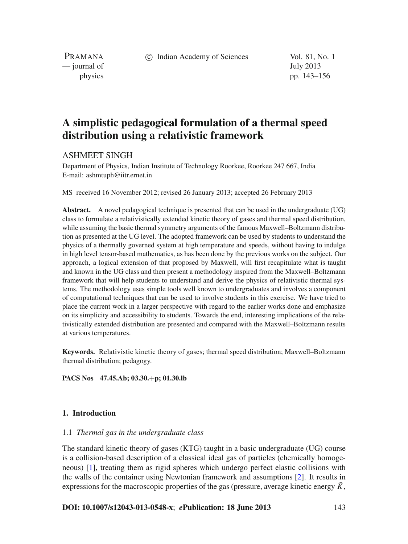c Indian Academy of Sciences Vol. 81, No. 1

PRAMANA — journal of July 2013

physics pp. 143–156

# **A simplistic pedagogical formulation of a thermal speed distribution using a relativistic framework**

## ASHMEET SINGH

Department of Physics, Indian Institute of Technology Roorkee, Roorkee 247 667, India E-mail: ashmtuph@iitr.ernet.in

MS received 16 November 2012; revised 26 January 2013; accepted 26 February 2013

**Abstract.** A novel pedagogical technique is presented that can be used in the undergraduate (UG) class to formulate a relativistically extended kinetic theory of gases and thermal speed distribution, while assuming the basic thermal symmetry arguments of the famous Maxwell–Boltzmann distribution as presented at the UG level. The adopted framework can be used by students to understand the physics of a thermally governed system at high temperature and speeds, without having to indulge in high level tensor-based mathematics, as has been done by the previous works on the subject. Our approach, a logical extension of that proposed by Maxwell, will first recapitulate what is taught and known in the UG class and then present a methodology inspired from the Maxwell–Boltzmann framework that will help students to understand and derive the physics of relativistic thermal systems. The methodology uses simple tools well known to undergraduates and involves a component of computational techniques that can be used to involve students in this exercise. We have tried to place the current work in a larger perspective with regard to the earlier works done and emphasize on its simplicity and accessibility to students. Towards the end, interesting implications of the relativistically extended distribution are presented and compared with the Maxwell–Boltzmann results at various temperatures.

**Keywords.** Relativistic kinetic theory of gases; thermal speed distribution; Maxwell–Boltzmann thermal distribution; pedagogy.

**PACS Nos 47.45.Ab; 03.30.**+**p; 01.30.lb**

## <span id="page-0-0"></span>**1. Introduction**

## 1.1 *Thermal gas in the undergraduate class*

The standard kinetic theory of gases (KTG) taught in a basic undergraduate (UG) course is a collision-based description of a classical ideal gas of particles (chemically homogeneous) [\[1](#page-13-0)], treating them as rigid spheres which undergo perfect elastic collisions with the walls of the container using Newtonian framework and assumptions [\[2\]](#page-13-1). It results in expressions for the macroscopic properties of the gas (pressure, average kinetic energy  $K$ ,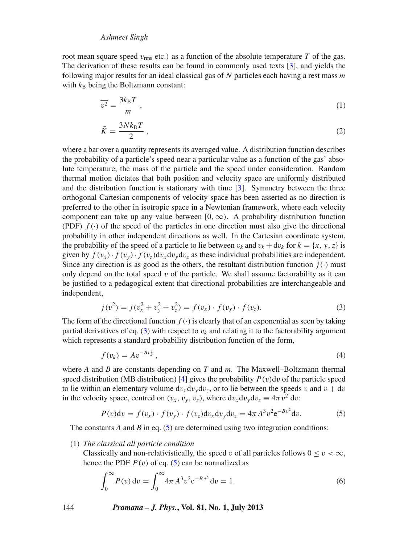root mean square speed  $v_{\rm rms}$  etc.) as a function of the absolute temperature *T* of the gas. The derivation of these results can be found in commonly used texts [\[3\]](#page-13-2), and yields the following major results for an ideal classical gas of *N* particles each having a rest mass *m* with  $k_B$  being the Boltzmann constant:

<span id="page-1-2"></span>
$$
\overline{v^2} = \frac{3k_B T}{m},\tag{1}
$$

$$
\bar{K} = \frac{3Nk_{\rm B}T}{2} \,,\tag{2}
$$

where a bar over a quantity represents its averaged value. A distribution function describes the probability of a particle's speed near a particular value as a function of the gas' absolute temperature, the mass of the particle and the speed under consideration. Random thermal motion dictates that both position and velocity space are uniformly distributed and the distribution function is stationary with time [\[3](#page-13-2)]. Symmetry between the three orthogonal Cartesian components of velocity space has been asserted as no direction is preferred to the other in isotropic space in a Newtonian framework, where each velocity component can take up any value between  $[0, \infty)$ . A probability distribution function (PDF)  $f(.)$  of the speed of the particles in one direction must also give the directional probability in other independent directions as well. In the Cartesian coordinate system, the probability of the speed of a particle to lie between  $v_k$  and  $v_k + dv_k$  for  $k = \{x, y, z\}$  is given by  $f(v_x) \cdot f(v_y) \cdot f(v_z) dv_x dv_y dv_z$  as these individual probabilities are independent. Since any direction is as good as the others, the resultant distribution function  $j(\cdot)$  must only depend on the total speed  $v$  of the particle. We shall assume factorability as it can be justified to a pedagogical extent that directional probabilities are interchangeable and independent,

<span id="page-1-0"></span>
$$
j(v^2) = j(v_x^2 + v_y^2 + v_z^2) = f(v_x) \cdot f(v_y) \cdot f(v_z).
$$
\n(3)

The form of the directional function  $f(.)$  is clearly that of an exponential as seen by taking partial derivatives of eq. [\(3\)](#page-1-0) with respect to  $v_k$  and relating it to the factorability argument which represents a standard probability distribution function of the form,

<span id="page-1-4"></span>
$$
f(v_k) = A e^{-B v_k^2}, \qquad (4)
$$

where *A* and *B* are constants depending on *T* and *m*. The Maxwell–Boltzmann thermal speed distribution (MB distribution) [\[4](#page-13-3)] gives the probability  $P(v)dv$  of the particle speed to lie within an elementary volume  $dv_x dv_y dv_z$ , or to lie between the speeds v and  $v + dv$ in the velocity space, centred on  $(v_x, v_y, v_z)$ , where  $dv_x dv_y dv_z \equiv 4\pi v^2 dv$ :

<span id="page-1-1"></span>
$$
P(v)dv = f(v_x) \cdot f(v_y) \cdot f(v_z)dv_x dv_y dv_z = 4\pi A^3 v^2 e^{-Bv^2} dv.
$$
 (5)

The constants *A* and *B* in eq. [\(5\)](#page-1-1) are determined using two integration conditions:

(1) *The classical all particle condition*

Classically and non-relativistically, the speed v of all particles follows  $0 \le v \le \infty$ , hence the PDF  $P(v)$  of eq. [\(5\)](#page-1-1) can be normalized as

<span id="page-1-3"></span>
$$
\int_0^\infty P(v) dv = \int_0^\infty 4\pi A^3 v^2 e^{-Bv^2} dv = 1.
$$
 (6)

144 *Pramana – J. Phys.***, Vol. 81, No. 1, July 2013**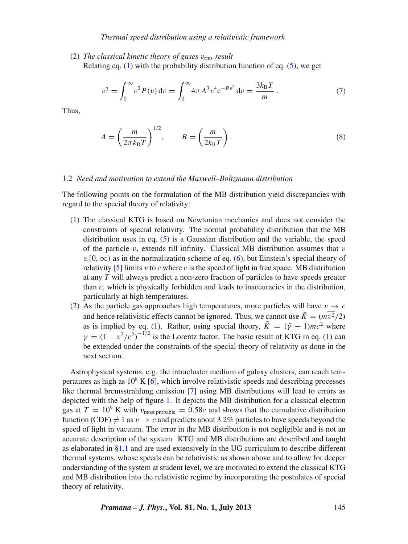## *Thermal speed distribution using a relati*v*istic framework*

(2) *The classical kinetic theory of gases* vrms *result* Relating eq.  $(1)$  with the probability distribution function of eq.  $(5)$ , we get

$$
\overline{v^2} = \int_0^\infty v^2 P(v) dv = \int_0^\infty 4\pi A^3 v^4 e^{-Bv^2} dv = \frac{3k_B T}{m} \,. \tag{7}
$$

Thus,

$$
A = \left(\frac{m}{2\pi k_{\rm B}T}\right)^{1/2}, \qquad B = \left(\frac{m}{2k_{\rm B}T}\right). \tag{8}
$$

#### 1.2 *Need and moti*v*ation to extend the Maxwell–Boltzmann distribution*

The following points on the formulation of the MB distribution yield discrepancies with regard to the special theory of relativity:

- (1) The classical KTG is based on Newtonian mechanics and does not consider the constraints of special relativity. The normal probability distribution that the MB distribution uses in eq.  $(5)$  is a Gaussian distribution and the variable, the speed of the particle v, extends till infinity. Classical MB distribution assumes that v  $∈ [0, ∞)$  as in the normalization scheme of eq. [\(6\)](#page-1-3), but Einstein's special theory of relativity [\[5](#page-13-4)] limits v to *c* where *c* is the speed of light in free space. MB distribution at any *T* will always predict a non-zero fraction of particles to have speeds greater than *c*, which is physically forbidden and leads to inaccuracies in the distribution, particularly at high temperatures.
- (2) As the particle gas approaches high temperatures, more particles will have  $v \rightarrow c$ and hence relativistic effects cannot be ignored. Thus, we cannot use  $\bar{K} = (m\overline{v^2}/2)$ as is implied by eq. [\(1\)](#page-1-2). Rather, using special theory,  $\bar{K} = (\bar{\gamma} - 1)mc^2$  where  $\gamma = (1 - v^2/c^2)^{-1/2}$  is the Lorentz factor. The basic result of KTG in eq. [\(1\)](#page-1-2) can be extended under the constraints of the special theory of relativity as done in the next section.

Astrophysical systems, e.g. the intracluster medium of galaxy clusters, can reach temperatures as high as  $10^8$  K [\[6\]](#page-13-5), which involve relativistic speeds and describing processes like thermal bremsstrahlung emission [\[7\]](#page-13-6) using MB distributions will lead to errors as depicted with the help of figure [1.](#page-3-0) It depicts the MB distribution for a classical electron gas at  $T = 10^9$  K with  $v_{\text{most probable}} = 0.58c$  and shows that the cumulative distribution function (CDF)  $\neq 1$  as  $v \to c$  and predicts about 3.2% particles to have speeds beyond the speed of light in vacuum. The error in the MB distribution is not negligible and is not an accurate description of the system. KTG and MB distributions are described and taught as elaborated in  $\S1.1$  and are used extensively in the UG curriculum to describe different thermal systems, whose speeds can be relativistic as shown above and to allow for deeper understanding of the system at student level, we are motivated to extend the classical KTG and MB distribution into the relativistic regime by incorporating the postulates of special theory of relativity.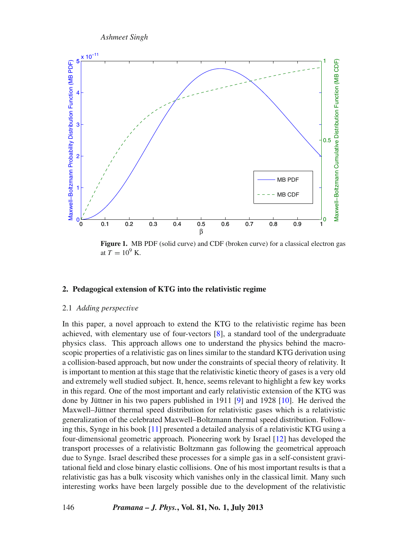<span id="page-3-0"></span>

**Figure 1.** MB PDF (solid curve) and CDF (broken curve) for a classical electron gas at  $T = 10^9$  K.

## **2. Pedagogical extension of KTG into the relativistic regime**

## 2.1 *Adding perspecti*v*e*

In this paper, a novel approach to extend the KTG to the relativistic regime has been achieved, with elementary use of four-vectors [\[8\]](#page-13-7), a standard tool of the undergraduate physics class. This approach allows one to understand the physics behind the macroscopic properties of a relativistic gas on lines similar to the standard KTG derivation using a collision-based approach, but now under the constraints of special theory of relativity. It is important to mention at this stage that the relativistic kinetic theory of gases is a very old and extremely well studied subject. It, hence, seems relevant to highlight a few key works in this regard. One of the most important and early relativistic extension of the KTG was done by Jüttner in his two papers published in 1911 [\[9](#page-13-8)] and 1928 [\[10\]](#page-13-9). He derived the Maxwell–Jüttner thermal speed distribution for relativistic gases which is a relativistic generalization of the celebrated Maxwell–Boltzmann thermal speed distribution. Following this, Synge in his book [\[11\]](#page-13-10) presented a detailed analysis of a relativistic KTG using a four-dimensional geometric approach. Pioneering work by Israel [\[12\]](#page-13-11) has developed the transport processes of a relativistic Boltzmann gas following the geometrical approach due to Synge. Israel described these processes for a simple gas in a self-consistent gravitational field and close binary elastic collisions. One of his most important results is that a relativistic gas has a bulk viscosity which vanishes only in the classical limit. Many such interesting works have been largely possible due to the development of the relativistic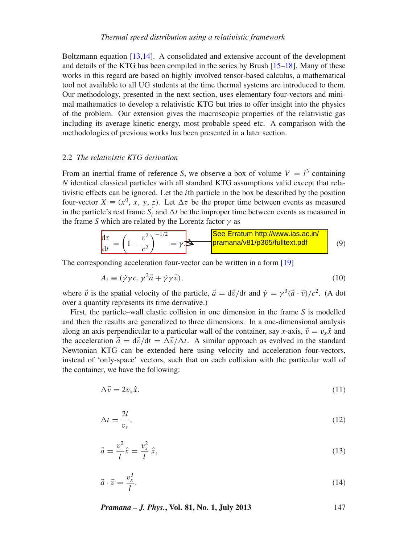Boltzmann equation [\[13](#page-13-12)[,14\]](#page-13-13). A consolidated and extensive account of the development and details of the KTG has been compiled in the series by Brush [\[15](#page-13-14)[–18](#page-13-15)]. Many of these works in this regard are based on highly involved tensor-based calculus, a mathematical tool not available to all UG students at the time thermal systems are introduced to them. Our methodology, presented in the next section, uses elementary four-vectors and minimal mathematics to develop a relativistic KTG but tries to offer insight into the physics of the problem. Our extension gives the macroscopic properties of the relativistic gas including its average kinetic energy, most probable speed etc. A comparison with the methodologies of previous works has been presented in a later section.

## 2.2 *The relati*v*istic KTG deri*v*ation*

From an inertial frame of reference *S*, we observe a box of volume  $V = l^3$  containing *N* identical classical particles with all standard KTG assumptions valid except that relativistic effects can be ignored. Let the *i*th particle in the box be described by the position four-vector  $X \equiv (x^0, x, y, z)$ . Let  $\Delta \tau$  be the proper time between events as measured in the particle's rest frame  $S_i$  and  $\Delta t$  be the improper time between events as measured in the frame *S* which are related by the Lorentz factor  $\gamma$  as

$$
\frac{d\tau}{dt} = \left(1 - \frac{v^2}{c^2}\right)^{-1/2} = \gamma \blacktriangleright \frac{\text{See Erratum http://www.ias.ac.in/}{\text{pramana/v81/p365/fulltext.pdf}} \tag{9}
$$

The corresponding acceleration four-vector can be written in a form [\[19](#page-13-16)]

$$
A_i \equiv (\dot{\gamma}\gamma c, \gamma^2 \vec{a} + \dot{\gamma}\gamma \vec{v}), \qquad (10)
$$

where  $\vec{v}$  is the spatial velocity of the particle,  $\vec{a} = d\vec{v}/dt$  and  $\dot{\gamma} = \gamma^3(\vec{a} \cdot \vec{v})/c^2$ . (A dot over a quantity represents its time derivative.)

First, the particle–wall elastic collision in one dimension in the frame *S* is modelled and then the results are generalized to three dimensions. In a one-dimensional analysis along an axis perpendicular to a particular wall of the container, say *x*-axis,  $\vec{v} = v_x \hat{x}$  and the acceleration  $\vec{a} = d\vec{v}/dt = \Delta \vec{v}/\Delta t$ . A similar approach as evolved in the standard Newtonian KTG can be extended here using velocity and acceleration four-vectors, instead of 'only-space' vectors, such that on each collision with the particular wall of the container, we have the following:

$$
\Delta \vec{v} = 2v_x \hat{x},\tag{11}
$$

$$
\Delta t = \frac{2l}{v_x},\tag{12}
$$

$$
\vec{a} = \frac{v^2}{l}\hat{x} = \frac{v_x^2}{l}\hat{x},\tag{13}
$$

$$
\vec{a} \cdot \vec{v} = \frac{v_x^3}{l}.\tag{14}
$$

*Pramana – J. Phys.***, Vol. 81, No. 1, July 2013** 147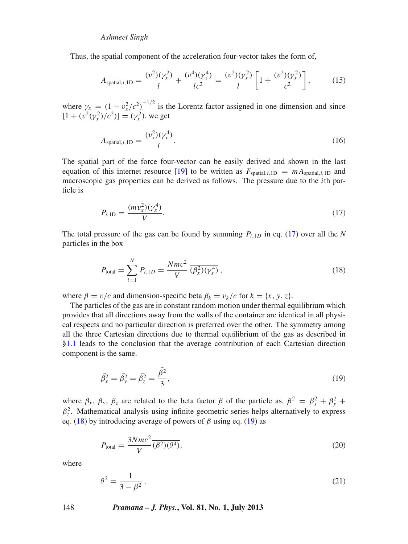Thus, the spatial component of the acceleration four-vector takes the form of,

$$
A_{\text{spatial},i,1D} = \frac{(v^2)(\gamma_x^2)}{l} + \frac{(v^4)(\gamma_x^4)}{lc^2} = \frac{(v^2)(\gamma_x^2)}{l} \left[1 + \frac{(v^2)(\gamma_x^2)}{c^2}\right],\tag{15}
$$

where  $\gamma_x = (1 - v_x^2/c^2)^{-1/2}$  is the Lorentz factor assigned in one dimension and since  $[1 + (v^2(\gamma_x^2)/c^2)] = (\gamma_x^2)$ , we get

$$
A_{\text{spatial},i,1D} = \frac{(v_x^2)(\gamma_x^4)}{l}.
$$
\n(16)

The spatial part of the force four-vector can be easily derived and shown in the last equation of this internet resource [\[19](#page-13-16)] to be written as  $F_{spatial,i,1D} = mA_{spatial,i,1D}$  and macroscopic gas properties can be derived as follows. The pressure due to the *i*th particle is

<span id="page-5-0"></span>
$$
P_{i,1D} = \frac{(mv_x^2)(\gamma_x^4)}{V}.
$$
\n(17)

The total pressure of the gas can be found by summing  $P_{i,1D}$  in eq. [\(17\)](#page-5-0) over all the *N* particles in the box

<span id="page-5-1"></span>
$$
P_{\text{total}} = \sum_{i=1}^{N} P_{i,1D} = \frac{Nmc^2}{V} \overline{(\beta_x^2)(\gamma_x^4)},
$$
\n(18)

where  $\beta = v/c$  and dimension-specific beta  $\beta_k = v_k/c$  for  $k = \{x, y, z\}$ .

The particles of the gas are in constant random motion under thermal equilibrium which provides that all directions away from the walls of the container are identical in all physical respects and no particular direction is preferred over the other. The symmetry among all the three Cartesian directions due to thermal equilibrium of the gas as described in [§1.1](#page-0-0) leads to the conclusion that the average contribution of each Cartesian direction component is the same.

<span id="page-5-2"></span>
$$
\bar{\beta}_x^2 = \bar{\beta}_y^2 = \bar{\beta}_z^2 = \frac{\bar{\beta}^2}{3},\tag{19}
$$

where  $\beta_x$ ,  $\beta_y$ ,  $\beta_z$  are related to the beta factor  $\beta$  of the particle as,  $\beta^2 = \beta_x^2 + \beta_y^2 + \beta_z^2$  $\beta_z^2$ . Mathematical analysis using infinite geometric series helps alternatively to express eq. [\(18\)](#page-5-1) by introducing average of powers of  $\beta$  using eq. [\(19\)](#page-5-2) as

$$
P_{\text{total}} = \frac{3Nmc^2}{V} \overline{(\beta^2)(\theta^4)},\tag{20}
$$

<span id="page-5-3"></span>where

$$
\theta^2 = \frac{1}{3 - \beta^2} \,. \tag{21}
$$

148 *Pramana – J. Phys.***, Vol. 81, No. 1, July 2013**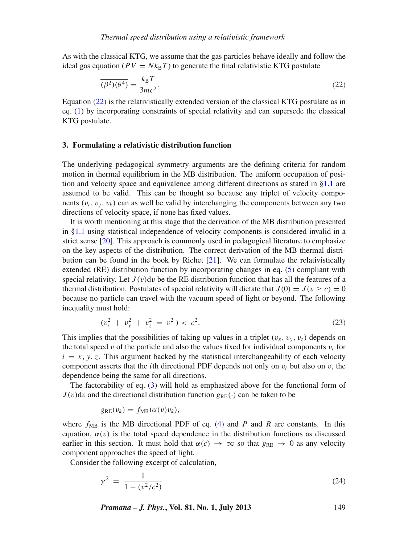As with the classical KTG, we assume that the gas particles behave ideally and follow the ideal gas equation ( $PV = Nk_BT$ ) to generate the final relativistic KTG postulate

<span id="page-6-0"></span>
$$
\overline{(\beta^2)(\theta^4)} = \frac{k_\text{B}T}{3mc^2}.\tag{22}
$$

Equation [\(22\)](#page-6-0) is the relativistically extended version of the classical KTG postulate as in eq. [\(1\)](#page-1-2) by incorporating constraints of special relativity and can supersede the classical KTG postulate.

## <span id="page-6-1"></span>**3. Formulating a relativistic distribution function**

The underlying pedagogical symmetry arguments are the defining criteria for random motion in thermal equilibrium in the MB distribution. The uniform occupation of position and velocity space and equivalence among different directions as stated in  $\S1.1$  are assumed to be valid. This can be thought so because any triplet of velocity components  $(v_i, v_j, v_k)$  can as well be valid by interchanging the components between any two directions of velocity space, if none has fixed values.

It is worth mentioning at this stage that the derivation of the MB distribution presented in [§1.1](#page-0-0) using statistical independence of velocity components is considered invalid in a strict sense [\[20\]](#page-13-17). This approach is commonly used in pedagogical literature to emphasize on the key aspects of the distribution. The correct derivation of the MB thermal distribution can be found in the book by Richet [\[21](#page-13-18)]. We can formulate the relativistically extended (RE) distribution function by incorporating changes in eq. [\(5\)](#page-1-1) compliant with special relativity. Let  $J(v)dv$  be the RE distribution function that has all the features of a thermal distribution. Postulates of special relativity will dictate that  $J(0) = J(v \ge c) = 0$ because no particle can travel with the vacuum speed of light or beyond. The following inequality must hold:

$$
(v_x^2 + v_y^2 + v_z^2 = v^2) < c^2. \tag{23}
$$

This implies that the possibilities of taking up values in a triplet  $(v_x, v_y, v_z)$  depends on the total speed v of the particle and also the values fixed for individual components  $v_i$  for  $i = x, y, z$ . This argument backed by the statistical interchangeability of each velocity component asserts that the *i*th directional PDF depends not only on  $v_i$  but also on  $v$ , the dependence being the same for all directions.

The factorability of eq. [\(3\)](#page-1-0) will hold as emphasized above for the functional form of  $J(v)dv$  and the directional distribution function  $g_{RE}(\cdot)$  can be taken to be

$$
g_{\rm RE}(v_k) = f_{\rm MB}(\alpha(v)v_k),
$$

where  $f_{MB}$  is the MB directional PDF of eq. [\(4\)](#page-1-4) and *P* and *R* are constants. In this equation,  $\alpha(v)$  is the total speed dependence in the distribution functions as discussed earlier in this section. It must hold that  $\alpha(c) \rightarrow \infty$  so that  $g_{RE} \rightarrow 0$  as any velocity component approaches the speed of light.

Consider the following excerpt of calculation,

$$
\gamma^2 = \frac{1}{1 - (v^2/c^2)}\tag{24}
$$

*Pramana – J. Phys.***, Vol. 81, No. 1, July 2013** 149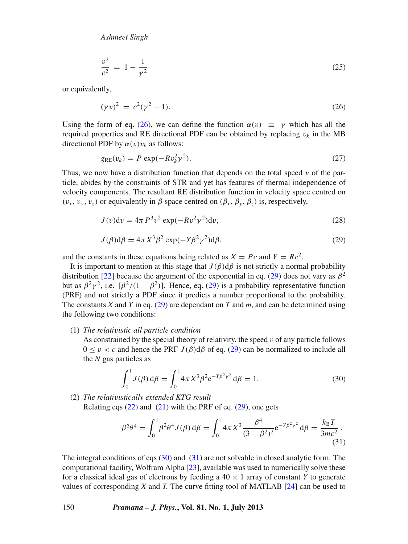$$
\frac{v^2}{c^2} = 1 - \frac{1}{\gamma^2} \tag{25}
$$

or equivalently,

<span id="page-7-0"></span>
$$
(\gamma v)^2 = c^2(\gamma^2 - 1). \tag{26}
$$

Using the form of eq. [\(26\)](#page-7-0), we can define the function  $\alpha(v) \equiv \gamma$  which has all the required properties and RE directional PDF can be obtained by replacing  $v_k$  in the MB directional PDF by  $\alpha(v)v_k$  as follows:

$$
g_{RE}(v_k) = P \exp(-Rv_k^2 \gamma^2). \tag{27}
$$

Thus, we now have a distribution function that depends on the total speed  $v$  of the particle, abides by the constraints of STR and yet has features of thermal independence of velocity components. The resultant RE distribution function in velocity space centred on  $(v_x, v_y, v_z)$  or equivalently in  $\beta$  space centred on  $(\beta_x, \beta_y, \beta_z)$  is, respectively,

<span id="page-7-4"></span>
$$
J(v)dv = 4\pi P^3 v^2 \exp(-Rv^2 \gamma^2) dv,
$$
 (28)

$$
J(\beta)d\beta = 4\pi X^3 \beta^2 \exp(-Y\beta^2 \gamma^2)d\beta,
$$
 (29)

<span id="page-7-1"></span>and the constants in these equations being related as  $X = Pc$  and  $Y = Rc^2$ .

It is important to mention at this stage that  $J(\beta)d\beta$  is not strictly a normal probability distribution [\[22\]](#page-13-19) because the argument of the exponential in eq. [\(29\)](#page-7-1) does not vary as  $\beta^2$ but as  $\beta^2 \gamma^2$ , i.e.  $[\beta^2/(1 - \beta^2)]$ . Hence, eq. [\(29\)](#page-7-1) is a probability representative function (PRF) and not strictly a PDF since it predicts a number proportional to the probability. The constants *X* and *Y* in eq. [\(29\)](#page-7-1) are dependant on *T* and *m*, and can be determined using the following two conditions:

(1) *The relati*v*istic all particle condition*

As constrained by the special theory of relativity, the speed  $v$  of any particle follows  $0 \le v \le c$  and hence the PRF  $J(\beta) d\beta$  of eq. [\(29\)](#page-7-1) can be normalized to include all the *N* gas particles as

<span id="page-7-2"></span>
$$
\int_0^1 J(\beta) \, d\beta = \int_0^1 4\pi X^3 \beta^2 e^{-Y\beta^2 \gamma^2} \, d\beta = 1.
$$
 (30)

(2) *The relati*v*istically extended KTG result* Relating eqs  $(22)$  and  $(21)$  with the PRF of eq.  $(29)$ , one gets

<span id="page-7-3"></span>
$$
\overline{\beta^2 \theta^4} = \int_0^1 \beta^2 \theta^4 J(\beta) \, d\beta = \int_0^1 4\pi X^3 \frac{\beta^4}{(3 - \beta^2)^2} e^{-Y \beta^2 \gamma^2} \, d\beta = \frac{k_B T}{3mc^2} \,. \tag{31}
$$

The integral conditions of eqs  $(30)$  and  $(31)$  are not solvable in closed analytic form. The computational facility, Wolfram Alpha [\[23](#page-13-20)], available was used to numerically solve these for a classical ideal gas of electrons by feeding a  $40 \times 1$  array of constant *Y* to generate values of corresponding *X* and *T.* The curve fitting tool of MATLAB [\[24\]](#page-13-21) can be used to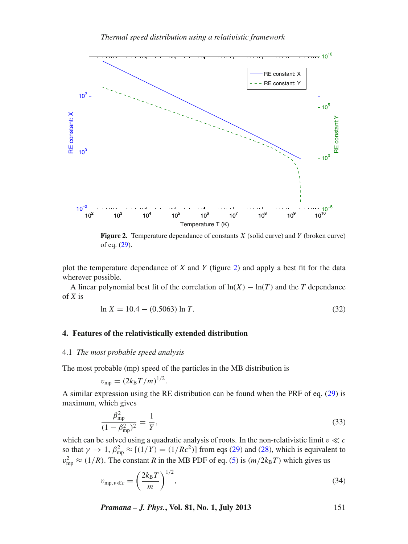<span id="page-8-0"></span>

**Figure 2.** Temperature dependance of constants *X* (solid curve) and *Y* (broken curve) of eq. [\(29\)](#page-7-1).

plot the temperature dependance of *X* and *Y* (figure [2\)](#page-8-0) and apply a best fit for the data wherever possible.

A linear polynomial best fit of the correlation of  $ln(X) - ln(T)$  and the *T* dependance of *X* is

$$
\ln X = 10.4 - (0.5063) \ln T. \tag{32}
$$

## **4. Features of the relativistically extended distribution**

## 4.1 *The most probable speed analysis*

The most probable (mp) speed of the particles in the MB distribution is

$$
v_{\rm mp} = (2k_{\rm B}T/m)^{1/2}.
$$

A similar expression using the RE distribution can be found when the PRF of eq. [\(29\)](#page-7-1) is maximum, which gives

$$
\frac{\beta_{\rm mp}^2}{(1 - \beta_{\rm mp}^2)^2} = \frac{1}{Y},\tag{33}
$$

which can be solved using a quadratic analysis of roots. In the non-relativistic limit  $v \ll c$ so that  $\gamma \to 1$ ,  $\beta_{\rm mp}^2 \approx [(1/Y) = (1/Rc^2)]$  from eqs [\(29\)](#page-7-1) and [\(28\)](#page-7-4), which is equivalent to  $v_{\text{mp}}^2 \approx (1/R)$ . The constant *R* in the MB PDF of eq. [\(5\)](#page-1-1) is  $(m/2k_BT)$  which gives us

$$
v_{\mathrm{mp},v\ll c} = \left(\frac{2k_{\mathrm{B}}T}{m}\right)^{1/2},\tag{34}
$$

*Pramana – J. Phys.***, Vol. 81, No. 1, July 2013** 151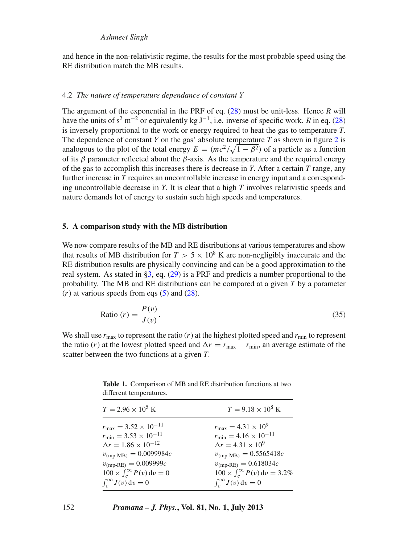and hence in the non-relativistic regime, the results for the most probable speed using the RE distribution match the MB results.

## 4.2 *The nature of temperature dependance of constant Y*

The argument of the exponential in the PRF of eq. [\(28\)](#page-7-4) must be unit-less. Hence *R* will have the units of s<sup>2</sup> m<sup>-2</sup> or equivalently kg J<sup>-1</sup>, i.e. inverse of specific work. *R* in eq. [\(28\)](#page-7-4) is inversely proportional to the work or energy required to heat the gas to temperature *T*. The dependence of constant  $Y$  on the gas' absolute temperature  $T$  as shown in figure  $2$  is analogous to the plot of the total energy  $E = (mc^2/\sqrt{1 - \beta^2})$  of a particle as a function of its β parameter reflected about the  $\beta$ -axis. As the temperature and the required energy of the gas to accomplish this increases there is decrease in *Y*. After a certain *T* range, any further increase in *T* requires an uncontrollable increase in energy input and a corresponding uncontrollable decrease in *Y*. It is clear that a high *T* involves relativistic speeds and nature demands lot of energy to sustain such high speeds and temperatures.

#### **5. A comparison study with the MB distribution**

We now compare results of the MB and RE distributions at various temperatures and show that results of MB distribution for  $T > 5 \times 10^8$  K are non-negligibly inaccurate and the RE distribution results are physically convincing and can be a good approximation to the real system. As stated in [§3,](#page-6-1) eq.  $(29)$  is a PRF and predicts a number proportional to the probability. The MB and RE distributions can be compared at a given *T* by a parameter  $(r)$  at various speeds from eqs  $(5)$  and  $(28)$ .

$$
Ratio (r) = \frac{P(v)}{J(v)}.
$$
\n(35)

We shall use  $r_{\text{max}}$  to represent the ratio (*r*) at the highest plotted speed and  $r_{\text{min}}$  to represent the ratio (*r*) at the lowest plotted speed and  $\Delta r = r_{\text{max}} - r_{\text{min}}$ , an average estimate of the scatter between the two functions at a given *T*.

<span id="page-9-0"></span>

| $T = 2.96 \times 10^5$ K                   | $T = 9.18 \times 10^8$ K                       |
|--------------------------------------------|------------------------------------------------|
| $r_{\text{max}} = 3.52 \times 10^{-11}$    | $r_{\text{max}} = 4.31 \times 10^9$            |
| $r_{\rm min} = 3.53 \times 10^{-11}$       | $r_{\rm min} = 4.16 \times 10^{-11}$           |
| $\Delta r = 1.86 \times 10^{-12}$          | $\Delta r = 4.31 \times 10^9$                  |
| $v_{(mp\text{-MB})} = 0.0099984c$          | $v_{(mp\text{-MB})} = 0.5565418c$              |
| $v_{\text{(mp-RE)}} = 0.009999c$           | $v_{(mp\text{-RE})} = 0.618034c$               |
| $100 \times \int_{c}^{\infty} P(v) dv = 0$ | $100 \times \int_{c}^{\infty} P(v) dv = 3.2\%$ |
| $\int_{c}^{\infty} J(v) dv = 0$            | $\int_{c}^{\infty} J(v) dv = 0$                |

**Table 1.** Comparison of MB and RE distribution functions at two different temperatures.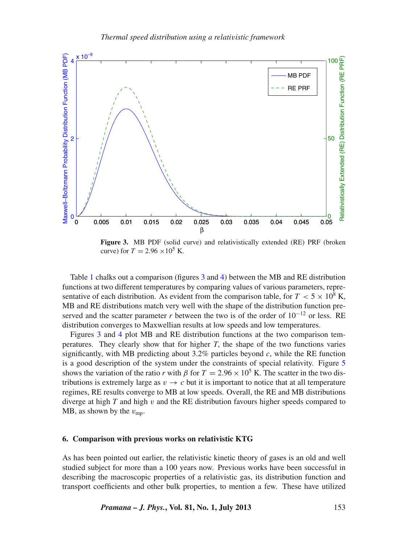<span id="page-10-0"></span>

**Figure 3.** MB PDF (solid curve) and relativistically extended (RE) PRF (broken curve) for  $T = 2.96 \times 10^5$  K.

Table [1](#page-9-0) chalks out a comparison (figures [3](#page-10-0) and [4\)](#page-11-0) between the MB and RE distribution functions at two different temperatures by comparing values of various parameters, representative of each distribution. As evident from the comparison table, for  $T < 5 \times 10^8$  K, MB and RE distributions match very well with the shape of the distribution function preserved and the scatter parameter *r* between the two is of the order of  $10^{-12}$  or less. RE distribution converges to Maxwellian results at low speeds and low temperatures.

Figures [3](#page-10-0) and [4](#page-11-0) plot MB and RE distribution functions at the two comparison temperatures. They clearly show that for higher *T*, the shape of the two functions varies significantly, with MB predicting about  $3.2\%$  particles beyond  $c$ , while the RE function is a good description of the system under the constraints of special relativity. Figure [5](#page-11-1) shows the variation of the ratio *r* with  $\beta$  for  $T = 2.96 \times 10^5$  K. The scatter in the two distributions is extremely large as  $v \rightarrow c$  but it is important to notice that at all temperature regimes, RE results converge to MB at low speeds. Overall, the RE and MB distributions diverge at high  $T$  and high  $\nu$  and the RE distribution favours higher speeds compared to MB, as shown by the  $v_{\rm mp}$ .

## **6. Comparison with previous works on relativistic KTG**

As has been pointed out earlier, the relativistic kinetic theory of gases is an old and well studied subject for more than a 100 years now. Previous works have been successful in describing the macroscopic properties of a relativistic gas, its distribution function and transport coefficients and other bulk properties, to mention a few. These have utilized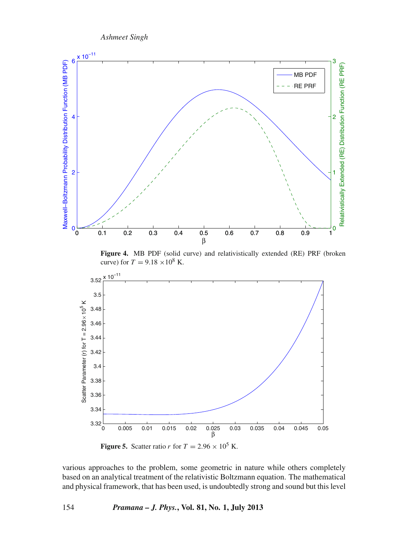*Ashmeet Singh*

<span id="page-11-0"></span>

**Figure 4.** MB PDF (solid curve) and relativistically extended (RE) PRF (broken curve) for  $T = 9.18 \times 10^8$  K.

<span id="page-11-1"></span>

**Figure 5.** Scatter ratio *r* for  $T = 2.96 \times 10^5$  K.

various approaches to the problem, some geometric in nature while others completely based on an analytical treatment of the relativistic Boltzmann equation. The mathematical and physical framework, that has been used, is undoubtedly strong and sound but this level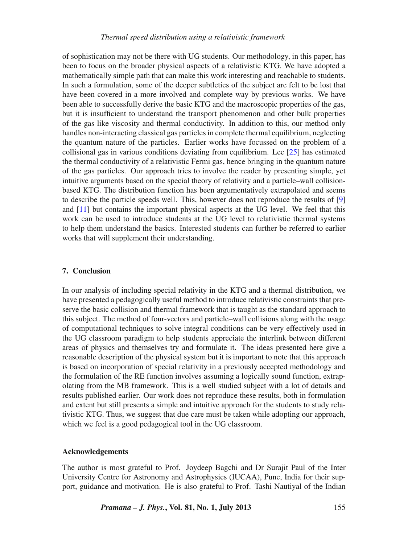## *Thermal speed distribution using a relati*v*istic framework*

of sophistication may not be there with UG students. Our methodology, in this paper, has been to focus on the broader physical aspects of a relativistic KTG. We have adopted a mathematically simple path that can make this work interesting and reachable to students. In such a formulation, some of the deeper subtleties of the subject are felt to be lost that have been covered in a more involved and complete way by previous works. We have been able to successfully derive the basic KTG and the macroscopic properties of the gas, but it is insufficient to understand the transport phenomenon and other bulk properties of the gas like viscosity and thermal conductivity. In addition to this, our method only handles non-interacting classical gas particles in complete thermal equilibrium, neglecting the quantum nature of the particles. Earlier works have focussed on the problem of a collisional gas in various conditions deviating from equilibrium. Lee [\[25\]](#page-13-22) has estimated the thermal conductivity of a relativistic Fermi gas, hence bringing in the quantum nature of the gas particles. Our approach tries to involve the reader by presenting simple, yet intuitive arguments based on the special theory of relativity and a particle–wall collisionbased KTG. The distribution function has been argumentatively extrapolated and seems to describe the particle speeds well. This, however does not reproduce the results of [\[9\]](#page-13-8) and [\[11\]](#page-13-10) but contains the important physical aspects at the UG level. We feel that this work can be used to introduce students at the UG level to relativistic thermal systems to help them understand the basics. Interested students can further be referred to earlier works that will supplement their understanding.

## **7. Conclusion**

In our analysis of including special relativity in the KTG and a thermal distribution, we have presented a pedagogically useful method to introduce relativistic constraints that preserve the basic collision and thermal framework that is taught as the standard approach to this subject. The method of four-vectors and particle–wall collisions along with the usage of computational techniques to solve integral conditions can be very effectively used in the UG classroom paradigm to help students appreciate the interlink between different areas of physics and themselves try and formulate it. The ideas presented here give a reasonable description of the physical system but it is important to note that this approach is based on incorporation of special relativity in a previously accepted methodology and the formulation of the RE function involves assuming a logically sound function, extrapolating from the MB framework. This is a well studied subject with a lot of details and results published earlier. Our work does not reproduce these results, both in formulation and extent but still presents a simple and intuitive approach for the students to study relativistic KTG. Thus, we suggest that due care must be taken while adopting our approach, which we feel is a good pedagogical tool in the UG classroom.

### **Acknowledgements**

The author is most grateful to Prof. Joydeep Bagchi and Dr Surajit Paul of the Inter University Centre for Astronomy and Astrophysics (IUCAA), Pune, India for their support, guidance and motivation. He is also grateful to Prof. Tashi Nautiyal of the Indian